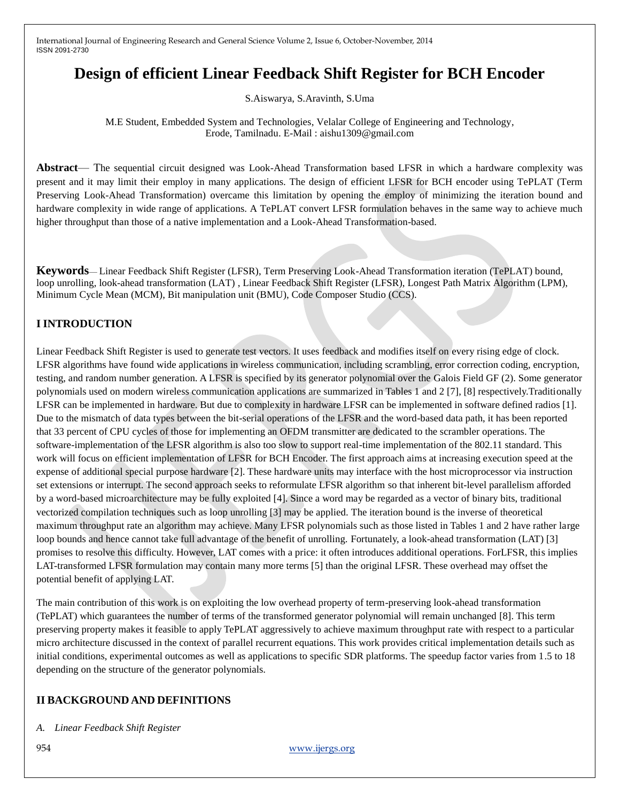# **Design of efficient Linear Feedback Shift Register for BCH Encoder**

S.Aiswarya, S.Aravinth, S.Uma

M.E Student, Embedded System and Technologies, Velalar College of Engineering and Technology, Erode, Tamilnadu. E-Mail : aishu1309@gmail.com

**Abstract**— The sequential circuit designed was Look-Ahead Transformation based LFSR in which a hardware complexity was present and it may limit their employ in many applications. The design of efficient LFSR for BCH encoder using TePLAT (Term Preserving Look-Ahead Transformation) overcame this limitation by opening the employ of minimizing the iteration bound and hardware complexity in wide range of applications. A TePLAT convert LFSR formulation behaves in the same way to achieve much higher throughput than those of a native implementation and a Look-Ahead Transformation-based.

**Keywords**— Linear Feedback Shift Register (LFSR), Term Preserving Look-Ahead Transformation iteration (TePLAT) bound, loop unrolling, look-ahead transformation (LAT) , Linear Feedback Shift Register (LFSR), Longest Path Matrix Algorithm (LPM), Minimum Cycle Mean (MCM), Bit manipulation unit (BMU), Code Composer Studio (CCS).

# **I INTRODUCTION**

Linear Feedback Shift Register is used to generate test vectors. It uses feedback and modifies itself on every rising edge of clock. LFSR algorithms have found wide applications in wireless communication, including scrambling, error correction coding, encryption, testing, and random number generation. A LFSR is specified by its generator polynomial over the Galois Field GF (2). Some generator polynomials used on modern wireless communication applications are summarized in Tables 1 and 2 [7], [8] respectively.Traditionally LFSR can be implemented in hardware. But due to complexity in hardware LFSR can be implemented in software defined radios [1]. Due to the mismatch of data types between the bit-serial operations of the LFSR and the word-based data path, it has been reported that 33 percent of CPU cycles of those for implementing an OFDM transmitter are dedicated to the scrambler operations. The software-implementation of the LFSR algorithm is also too slow to support real-time implementation of the 802.11 standard. This work will focus on efficient implementation of LFSR for BCH Encoder. The first approach aims at increasing execution speed at the expense of additional special purpose hardware [2]. These hardware units may interface with the host microprocessor via instruction set extensions or interrupt. The second approach seeks to reformulate LFSR algorithm so that inherent bit-level parallelism afforded by a word-based microarchitecture may be fully exploited [4]. Since a word may be regarded as a vector of binary bits, traditional vectorized compilation techniques such as loop unrolling [3] may be applied. The iteration bound is the inverse of theoretical maximum throughput rate an algorithm may achieve. Many LFSR polynomials such as those listed in Tables 1 and 2 have rather large loop bounds and hence cannot take full advantage of the benefit of unrolling. Fortunately, a look-ahead transformation (LAT) [3] promises to resolve this difficulty. However, LAT comes with a price: it often introduces additional operations. ForLFSR, this implies LAT-transformed LFSR formulation may contain many more terms [5] than the original LFSR. These overhead may offset the potential benefit of applying LAT.

The main contribution of this work is on exploiting the low overhead property of term-preserving look-ahead transformation (TePLAT) which guarantees the number of terms of the transformed generator polynomial will remain unchanged [8]. This term preserving property makes it feasible to apply TePLAT aggressively to achieve maximum throughput rate with respect to a particular micro architecture discussed in the context of parallel recurrent equations. This work provides critical implementation details such as initial conditions, experimental outcomes as well as applications to specific SDR platforms. The speedup factor varies from 1.5 to 18 depending on the structure of the generator polynomials.

#### **II BACKGROUND AND DEFINITIONS**

*A. Linear Feedback Shift Register*

954 www.ijergs.org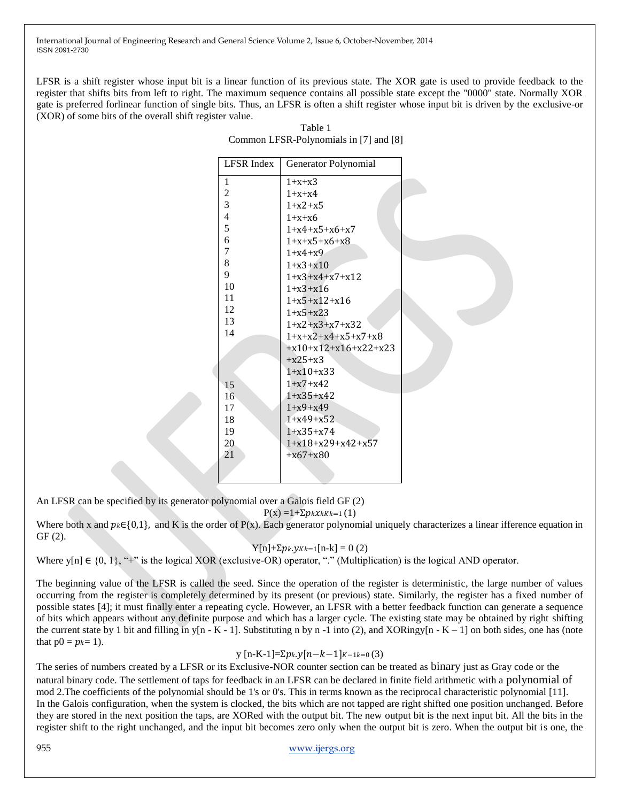LFSR is a shift register whose input bit is a linear function of its previous state. The XOR gate is used to provide feedback to the register that shifts bits from left to right. The maximum sequence contains all possible state except the "0000" state. Normally XOR gate is preferred forlinear function of single bits. Thus, an LFSR is often a shift register whose input bit is driven by the exclusive-or (XOR) of some bits of the overall shift register value.

| <b>LFSR</b> Index | Generator Polynomial   |  |
|-------------------|------------------------|--|
| 1                 | $1+x+x3$               |  |
| $\overline{c}$    | $1 + x + x4$           |  |
| 3                 | $1 + x2 + x5$          |  |
| $\overline{4}$    | $1+x+x6$               |  |
| 5                 | $1+x4+x5+x6+x7$        |  |
| 6                 | $1+x+x5+x6+x8$         |  |
| $\overline{7}$    | $1 + x4 + x9$          |  |
| 8                 | $1+x3+x10$             |  |
| 9                 | $1+x3+x4+x7+x12$       |  |
| 10                | $1+x3+x16$             |  |
| 11                | $1+x5+x12+x16$         |  |
| 12                | $1+x5+x23$             |  |
| 13                | $1+x2+x3+x7+x32$       |  |
| 14                | $1+x+x2+x4+x5+x7+x8$   |  |
|                   | $+x10+x12+x16+x22+x23$ |  |
|                   | $+x25+x3$              |  |
|                   | $1+x10+x33$            |  |
| 15                | $1+x7+x42$             |  |
| 16                | $1+x35+x42$            |  |
| 17                | $1+x9+x49$             |  |
| 18                | $1+x49+x52$            |  |
| 19                | $1+x35+x74$            |  |
| 20                | $1+x18+x29+x42+x57$    |  |
| 21                | $+x67+x80$             |  |
|                   |                        |  |
|                   |                        |  |

| Table 1                                |
|----------------------------------------|
| Common LFSR-Polynomials in [7] and [8] |

An LFSR can be specified by its generator polynomial over a Galois field GF (2)

 $P(x) = 1 + \sum p_k x_k k k = 1 (1)$ 

Where both x and  $p_k \in \{0,1\}$ , and K is the order of P(x). Each generator polynomial uniquely characterizes a linear ifference equation in GF (2).

$$
Y[n]+\Sigma p_k.y_{kk=1}[n-k]=0 (2)
$$

Where  $y[n] \in \{0, 1\}$ , "+" is the logical XOR (exclusive-OR) operator, "." (Multiplication) is the logical AND operator.

The beginning value of the LFSR is called the seed. Since the operation of the register is deterministic, the large number of values occurring from the register is completely determined by its present (or previous) state. Similarly, the register has a fixed number of possible states [4]; it must finally enter a repeating cycle. However, an LFSR with a better feedback function can generate a sequence of bits which appears without any definite purpose and which has a larger cycle. The existing state may be obtained by right shifting the current state by 1 bit and filling in y[n - K - 1]. Substituting n by n -1 into (2), and XORingy[n - K - 1] on both sides, one has (note that  $p0 = p_k = 1$ ).

$$
y
$$
 [n-K-1]= $\sum p_k y[n-k-1]_{K-1k=0}$ (3)

The series of numbers created by a LFSR or its Exclusive-NOR counter section can be treated as binary just as Gray code or the natural binary code. The settlement of taps for feedback in an LFSR can be declared in finite field arithmetic with a polynomial of mod 2.The coefficients of the polynomial should be 1's or 0's. This in terms known as the reciprocal characteristic polynomial [11]. In the Galois configuration, when the system is clocked, the bits which are not tapped are right shifted one position unchanged. Before they are stored in the next position the taps, are XORed with the output bit. The new output bit is the next input bit. All the bits in the register shift to the right unchanged, and the input bit becomes zero only when the output bit is zero. When the output bit is one, the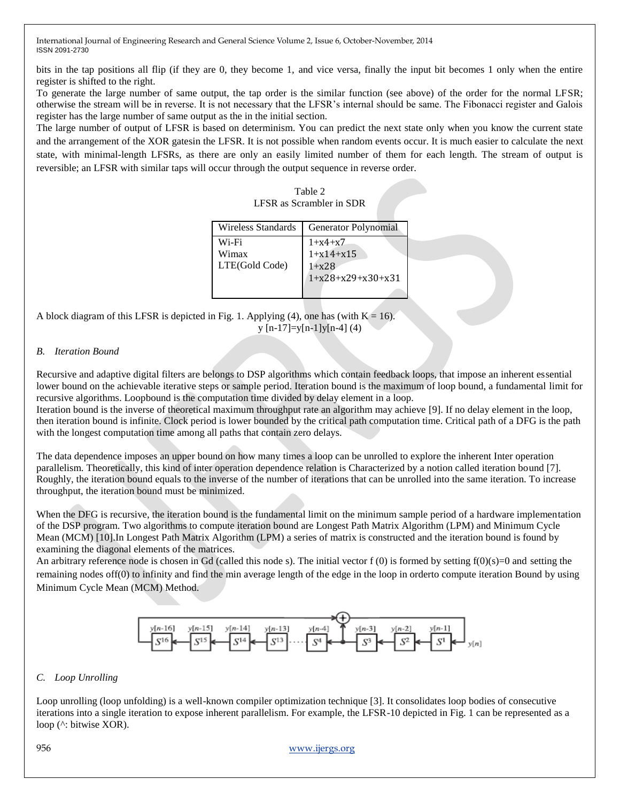bits in the tap positions all flip (if they are 0, they become 1, and vice versa, finally the input bit becomes 1 only when the entire register is shifted to the right.

To generate the large number of same output, the tap order is the similar function (see above) of the order for the normal LFSR; otherwise the stream will be in reverse. It is not necessary that the LFSR's internal should be same. The Fibonacci register and Galois register has the large number of same output as the in the initial section.

The large number of output of LFSR is based on determinism. You can predict the next state only when you know the current state and the arrangement of the XOR gatesin the LFSR. It is not possible when random events occur. It is much easier to calculate the next state, with minimal-length LFSRs, as there are only an easily limited number of them for each length. The stream of output is reversible; an LFSR with similar taps will occur through the output sequence in reverse order.

#### Table 2 LFSR as Scrambler in SDR

| Wireless Standards               | Generator Polynomial                                             |
|----------------------------------|------------------------------------------------------------------|
| Wi-Fi<br>Wimax<br>LTE(Gold Code) | $1 + x4 + x7$<br>$1+x14+x15$<br>$1 + x28$<br>$1+x28+x29+x30+x31$ |

A block diagram of this LFSR is depicted in Fig. 1. Applying (4), one has (with  $K = 16$ ).  $y$  [n-17]=y[n-1]y[n-4] (4)

#### *B. Iteration Bound*

Recursive and adaptive digital filters are belongs to DSP algorithms which contain feedback loops, that impose an inherent essential lower bound on the achievable iterative steps or sample period. Iteration bound is the maximum of loop bound, a fundamental limit for recursive algorithms. Loopbound is the computation time divided by delay element in a loop.

Iteration bound is the inverse of theoretical maximum throughput rate an algorithm may achieve [9]. If no delay element in the loop, then iteration bound is infinite. Clock period is lower bounded by the critical path computation time. Critical path of a DFG is the path with the longest computation time among all paths that contain zero delays.

The data dependence imposes an upper bound on how many times a loop can be unrolled to explore the inherent Inter operation parallelism. Theoretically, this kind of inter operation dependence relation is Characterized by a notion called iteration bound [7]. Roughly, the iteration bound equals to the inverse of the number of iterations that can be unrolled into the same iteration. To increase throughput, the iteration bound must be minimized.

When the DFG is recursive, the iteration bound is the fundamental limit on the minimum sample period of a hardware implementation of the DSP program. Two algorithms to compute iteration bound are Longest Path Matrix Algorithm (LPM) and Minimum Cycle Mean (MCM) [10].In Longest Path Matrix Algorithm (LPM) a series of matrix is constructed and the iteration bound is found by examining the diagonal elements of the matrices.

An arbitrary reference node is chosen in Gd (called this node s). The initial vector  $f(0)$  is formed by setting  $f(0)(s)=0$  and setting the remaining nodes off(0) to infinity and find the min average length of the edge in the loop in orderto compute iteration Bound by using Minimum Cycle Mean (MCM) Method.



#### *C. Loop Unrolling*

Loop unrolling (loop unfolding) is a well-known compiler optimization technique [3]. It consolidates loop bodies of consecutive iterations into a single iteration to expose inherent parallelism. For example, the LFSR-10 depicted in Fig. 1 can be represented as a loop (^: bitwise XOR).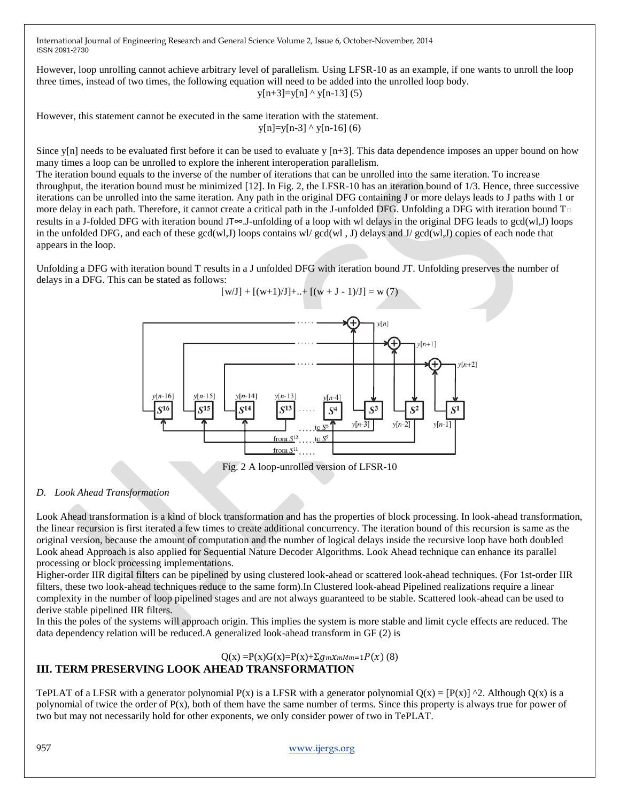However, loop unrolling cannot achieve arbitrary level of parallelism. Using LFSR-10 as an example, if one wants to unroll the loop three times, instead of two times, the following equation will need to be added into the unrolled loop body.  $y[n+3]=y[n]$  ^  $y[n-13]$  (5)

However, this statement cannot be executed in the same iteration with the statement.  $y[n]=y[n-3]$  ^  $y[n-16]$  (6)

Since y[n] needs to be evaluated first before it can be used to evaluate y  $[n+3]$ . This data dependence imposes an upper bound on how many times a loop can be unrolled to explore the inherent interoperation parallelism.

The iteration bound equals to the inverse of the number of iterations that can be unrolled into the same iteration. To increase throughput, the iteration bound must be minimized [12]. In Fig. 2, the LFSR-10 has an iteration bound of 1/3. Hence, three successive iterations can be unrolled into the same iteration. Any path in the original DFG containing J or more delays leads to J paths with 1 or more delay in each path. Therefore, it cannot create a critical path in the J-unfolded DFG. Unfolding a DFG with iteration bound T results in a J-folded DFG with iteration bound JT∞.J-unfolding of a loop with wl delays in the original DFG leads to gcd(wl,J) loops in the unfolded DFG, and each of these  $gcd(w, J)$  loops contains wl/ $gcd(w, J)$  delays and J/ $gcd(w, J)$  copies of each node that appears in the loop.

Unfolding a DFG with iteration bound T results in a J unfolded DFG with iteration bound JT. Unfolding preserves the number of delays in a DFG. This can be stated as follows:



Fig. 2 A loop-unrolled version of LFSR-10

#### *D. Look Ahead Transformation*

Look Ahead transformation is a kind of block transformation and has the properties of block processing. In look-ahead transformation, the linear recursion is first iterated a few times to create additional concurrency. The iteration bound of this recursion is same as the original version, because the amount of computation and the number of logical delays inside the recursive loop have both doubled Look ahead Approach is also applied for Sequential Nature Decoder Algorithms. Look Ahead technique can enhance its parallel processing or block processing implementations.

Higher-order IIR digital filters can be pipelined by using clustered look-ahead or scattered look-ahead techniques. (For 1st-order IIR filters, these two look-ahead techniques reduce to the same form).In Clustered look-ahead Pipelined realizations require a linear complexity in the number of loop pipelined stages and are not always guaranteed to be stable. Scattered look-ahead can be used to derive stable pipelined IIR filters.

In this the poles of the systems will approach origin. This implies the system is more stable and limit cycle effects are reduced. The data dependency relation will be reduced.A generalized look-ahead transform in GF (2) is

$$
Q(x) = P(x)G(x) = P(x) + \Sigma g_m x_m M m = 1 P(x)
$$
 (8)

## **III. TERM PRESERVING LOOK AHEAD TRANSFORMATION**

TePLAT of a LFSR with a generator polynomial P(x) is a LFSR with a generator polynomial  $Q(x) = [P(x)]^2$ . Although  $Q(x)$  is a polynomial of twice the order of  $P(x)$ , both of them have the same number of terms. Since this property is always true for power of two but may not necessarily hold for other exponents, we only consider power of two in TePLAT.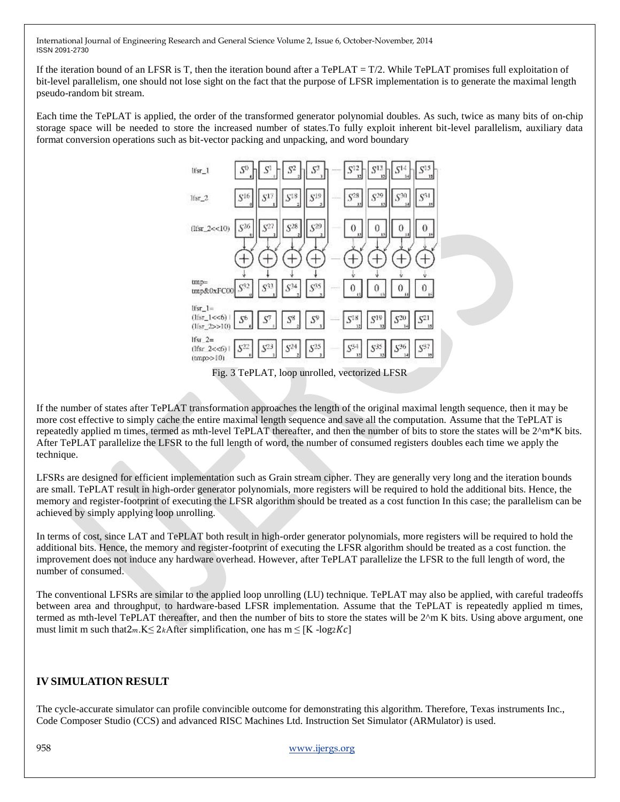If the iteration bound of an LFSR is T, then the iteration bound after a TePLAT =  $T/2$ . While TePLAT promises full exploitation of bit-level parallelism, one should not lose sight on the fact that the purpose of LFSR implementation is to generate the maximal length pseudo-random bit stream.

Each time the TePLAT is applied, the order of the transformed generator polynomial doubles. As such, twice as many bits of on-chip storage space will be needed to store the increased number of states.To fully exploit inherent bit-level parallelism, auxiliary data format conversion operations such as bit-vector packing and unpacking, and word boundary



Fig. 3 TePLAT, loop unrolled, vectorized LFSR

If the number of states after TePLAT transformation approaches the length of the original maximal length sequence, then it may be more cost effective to simply cache the entire maximal length sequence and save all the computation. Assume that the TePLAT is repeatedly applied m times, termed as mth-level TePLAT thereafter, and then the number of bits to store the states will be  $2^{\text{Am*}}K$  bits. After TePLAT parallelize the LFSR to the full length of word, the number of consumed registers doubles each time we apply the technique.

LFSRs are designed for efficient implementation such as Grain stream cipher. They are generally very long and the iteration bounds are small. TePLAT result in high-order generator polynomials, more registers will be required to hold the additional bits. Hence, the memory and register-footprint of executing the LFSR algorithm should be treated as a cost function In this case; the parallelism can be achieved by simply applying loop unrolling.

In terms of cost, since LAT and TePLAT both result in high-order generator polynomials, more registers will be required to hold the additional bits. Hence, the memory and register-footprint of executing the LFSR algorithm should be treated as a cost function. the improvement does not induce any hardware overhead. However, after TePLAT parallelize the LFSR to the full length of word, the number of consumed.

The conventional LFSRs are similar to the applied loop unrolling (LU) technique. TePLAT may also be applied, with careful tradeoffs between area and throughput, to hardware-based LFSR implementation. Assume that the TePLAT is repeatedly applied m times, termed as mth-level TePLAT thereafter, and then the number of bits to store the states will be 2^m K bits. Using above argument, one must limit m such that $2m.K \leq 2k$ After simplification, one has  $m \leq [K - \log 2Kc]$ 

#### **IV SIMULATION RESULT**

The cycle-accurate simulator can profile convincible outcome for demonstrating this algorithm. Therefore, Texas instruments Inc., Code Composer Studio (CCS) and advanced RISC Machines Ltd. Instruction Set Simulator (ARMulator) is used.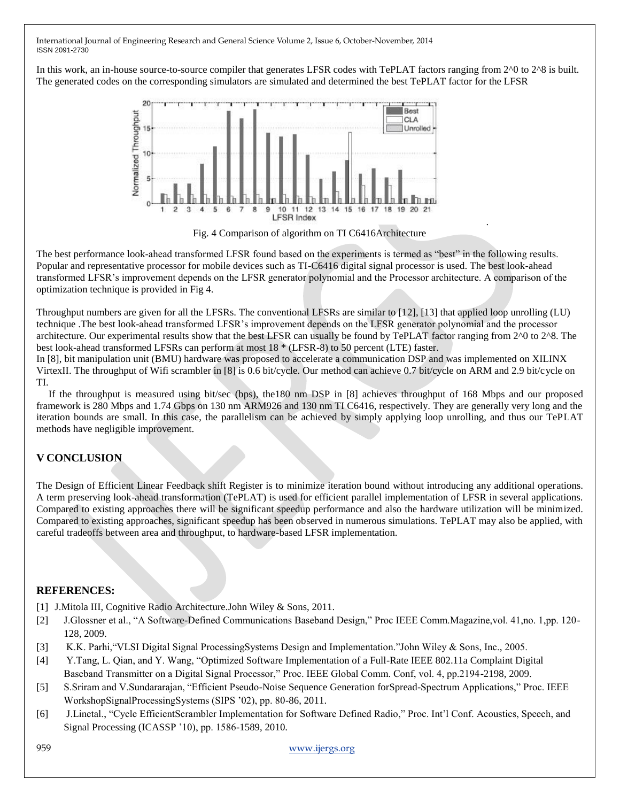In this work, an in-house source-to-source compiler that generates LFSR codes with TePLAT factors ranging from  $2^{\wedge}0$  to  $2^{\wedge}8$  is built. The generated codes on the corresponding simulators are simulated and determined the best TePLAT factor for the LFSR



Fig. 4 Comparison of algorithm on TI C6416Architecture

.

The best performance look-ahead transformed LFSR found based on the experiments is termed as "best" in the following results. Popular and representative processor for mobile devices such as TI-C6416 digital signal processor is used. The best look-ahead transformed LFSR's improvement depends on the LFSR generator polynomial and the Processor architecture. A comparison of the optimization technique is provided in Fig 4.

Throughput numbers are given for all the LFSRs. The conventional LFSRs are similar to [12], [13] that applied loop unrolling (LU) technique .The best look-ahead transformed LFSR's improvement depends on the LFSR generator polynomial and the processor architecture. Our experimental results show that the best LFSR can usually be found by TePLAT factor ranging from 2^0 to 2^8. The best look-ahead transformed LFSRs can perform at most 18 \* (LFSR-8) to 50 percent (LTE) faster.

In [8], bit manipulation unit (BMU) hardware was proposed to accelerate a communication DSP and was implemented on XILINX VirtexII. The throughput of Wifi scrambler in [8] is 0.6 bit/cycle. Our method can achieve 0.7 bit/cycle on ARM and 2.9 bit/cycle on TI.

If the throughput is measured using bit/sec (bps), the180 nm DSP in [8] achieves throughput of 168 Mbps and our proposed framework is 280 Mbps and 1.74 Gbps on 130 nm ARM926 and 130 nm TI C6416, respectively. They are generally very long and the iteration bounds are small. In this case, the parallelism can be achieved by simply applying loop unrolling, and thus our TePLAT methods have negligible improvement.

## **V CONCLUSION**

The Design of Efficient Linear Feedback shift Register is to minimize iteration bound without introducing any additional operations. A term preserving look-ahead transformation (TePLAT) is used for efficient parallel implementation of LFSR in several applications. Compared to existing approaches there will be significant speedup performance and also the hardware utilization will be minimized. Compared to existing approaches, significant speedup has been observed in numerous simulations. TePLAT may also be applied, with careful tradeoffs between area and throughput, to hardware-based LFSR implementation.

#### **REFERENCES:**

- [1] J.Mitola III, Cognitive Radio Architecture.John Wiley & Sons, 2011.
- [2] J.Glossner et al., "A Software-Defined Communications Baseband Design," Proc IEEE Comm.Magazine,vol. 41,no. 1,pp. 120-128, 2009.
- [3] K.K. Parhi, "VLSI Digital Signal ProcessingSystems Design and Implementation."John Wiley & Sons, Inc., 2005.
- [4] Y.Tang, L. Qian, and Y. Wang, "Optimized Software Implementation of a Full-Rate IEEE 802.11a Complaint Digital Baseband Transmitter on a Digital Signal Processor," Proc. IEEE Global Comm. Conf, vol. 4, pp.2194-2198, 2009.
- [5] S.Sriram and V.Sundararajan, "Efficient Pseudo-Noise Sequence Generation forSpread-Spectrum Applications," Proc. IEEE WorkshopSignalProcessingSystems (SIPS '02), pp. 80-86, 2011.
- [6] J.Linetal., "Cycle EfficientScrambler Implementation for Software Defined Radio," Proc. Int'l Conf. Acoustics, Speech, and Signal Processing (ICASSP '10), pp. 1586-1589, 2010.